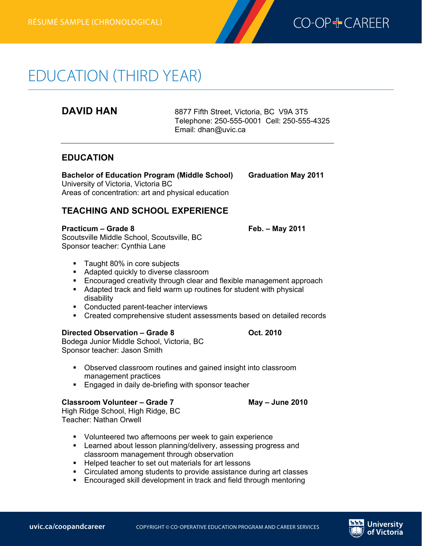

# EDUCATION (THIRD YEAR)

**Education résumé(third year)—chronological**

**DAVID HAN** 8877 Fifth Street, Victoria, BC V9A 3T5 Telephone: 250-555-0001 Cell: 250-555-4325 Email: dhan@uvic.ca

# **EDUCATION**

**Bachelor of Education Program (Middle School) Graduation May 2011** University of Victoria, Victoria BC Areas of concentration: art and physical education

# **TEACHING AND SCHOOL EXPERIENCE**

#### **Practicum – Grade 8 Feb. – May 2011**

Scoutsville Middle School, Scoutsville, BC Sponsor teacher: Cynthia Lane

- Taught 80% in core subjects
- Adapted quickly to diverse classroom
- **Encouraged creativity through clear and flexible management approach**
- Adapted track and field warm up routines for student with physical disability
- Conducted parent-teacher interviews
- § Created comprehensive student assessments based on detailed records

### **Directed Observation – Grade 8 Oct. 2010**

Bodega Junior Middle School, Victoria, BC Sponsor teacher: Jason Smith

- Observed classroom routines and gained insight into classroom management practices
- Engaged in daily de-briefing with sponsor teacher

### **Classroom Volunteer – Grade 7 May – June 2010**

High Ridge School, High Ridge, BC Teacher: Nathan Orwell

- § Volunteered two afternoons per week to gain experience
- Learned about lesson planning/delivery, assessing progress and classroom management through observation
- Helped teacher to set out materials for art lessons
- Circulated among students to provide assistance during art classes
- Encouraged skill development in track and field through mentoring